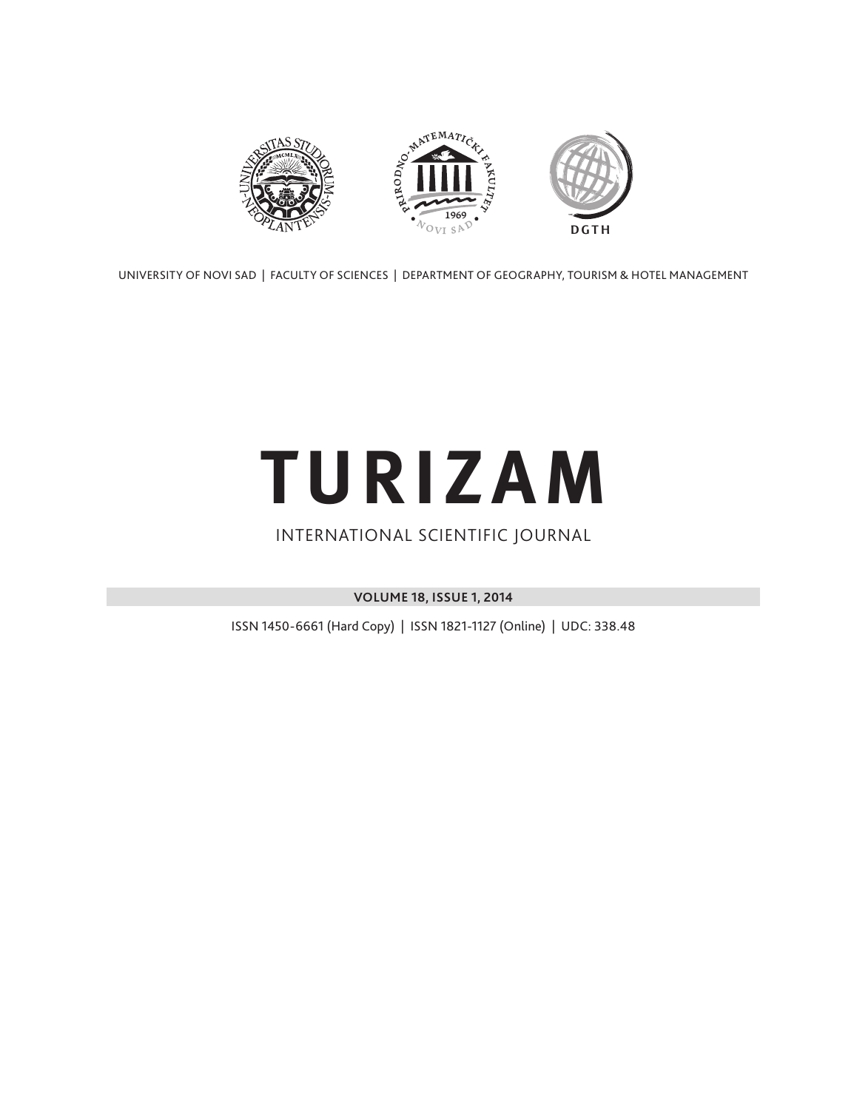

UNIVERSITY OF NOVI SAD | FACULTY OF SCIENCES | DEPARTMENT OF GEOGRAPHY, TOURISM & HOTEL MANAGEMENT

# **TURIZAM**

### INTERNATIONAL SCIENTIFIC JOURNAL

**VOLUME 18, ISSUE 1, 2014**

ISSN 1450-6661 (Hard Copy) | ISSN 1821-1127 (Online) | UDC: 338.48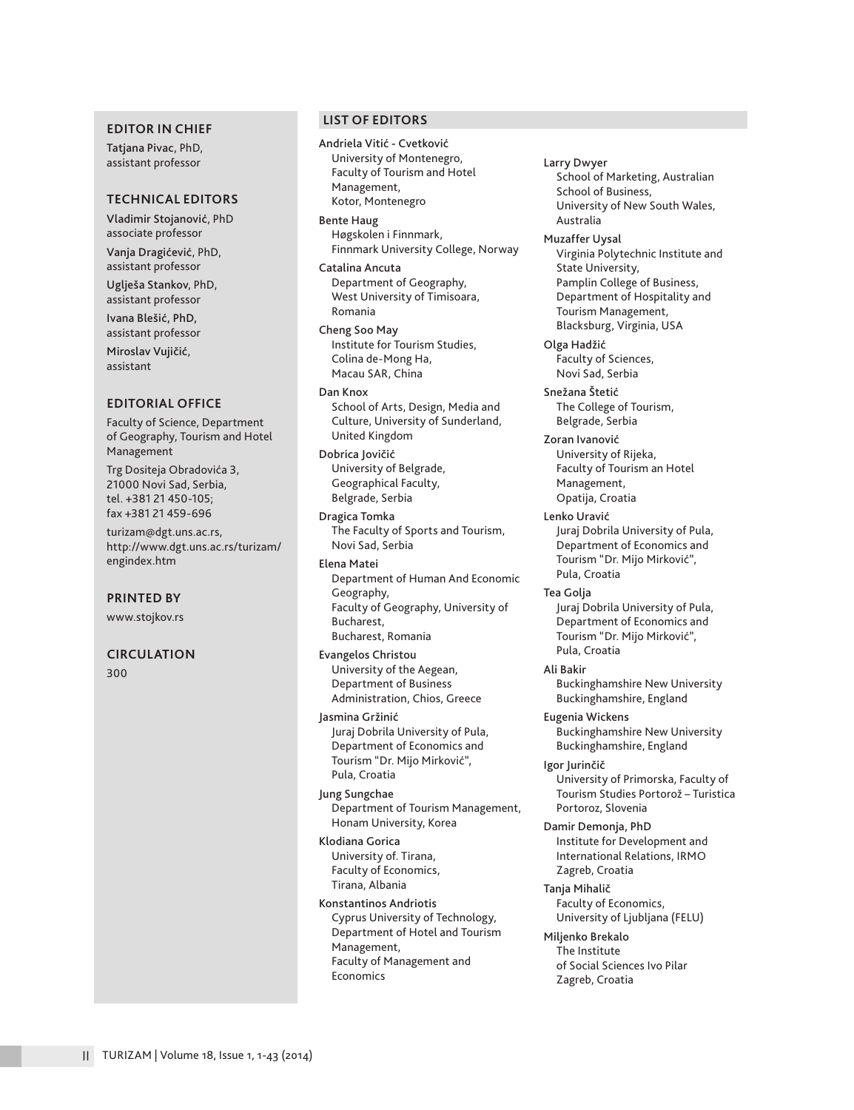#### **EDITOR IN CHIEF**

Tatjana Pivac, PhD, assistant professor

#### **TECHNICAL EDITORS**

Vladimir Stojanović, PhD associate professor

Vanja Dragićević, PhD, assistant professor Uglješa Stankov, PhD,

assistant professor

Ivana Blešić, PhD, assistant professor

Miroslav Vujičić, assistant

#### **EDITORIAL OFFICE**

Faculty of Science, Department of Geography, Tourism and Hotel Management

Trg Dositeja Obradovića 3, 21000 Novi Sad, Serbia, tel. +381 21 450-105; fax +381 21 459-696

turizam@dgt.uns.ac.rs, http://www.dgt.uns.ac.rs/turizam/ engindex.htm

**PRINTED BY**

www.stojkov.rs

#### **CIRCULATION**

300

#### **LIST OF EDITORS**

Andriela Vitić - Cvetković University of Montenegro, Faculty of Tourism and Hotel Management, Kotor, Montenegro

Bente Haug Høgskolen i Finnmark, Finnmark University College, Norway

Catalina Ancuta Department of Geography, West University of Timisoara, Romania

Cheng Soo May Institute for Tourism Studies, Colina de-Mong Ha, Macau SAR, China

Dan Knox School of Arts, Design, Media and Culture, University of Sunderland, United Kingdom

Dobrica Jovičić University of Belgrade, Geographical Faculty, Belgrade, Serbia

Dragica Tomka The Faculty of Sports and Tourism, Novi Sad, Serbia

Elena Matei Department of Human And Economic Geography, Faculty of Geography, University of Bucharest, Bucharest, Romania

Evangelos Christou University of the Aegean, Department of Business Administration, Chios, Greece

Jasmina Gržinić Juraj Dobrila University of Pula, Department of Economics and Tourism "Dr. Mijo Mirković", Pula, Croatia

Jung Sungchae Department of Tourism Management, Honam University, Korea

Klodiana Gorica University of. Tirana, Faculty of Economics, Tirana, Albania

Konstantinos Andriotis Cyprus University of Technology, Department of Hotel and Tourism Management, Faculty of Management and Economics

Larry Dwyer School of Marketing, Australian School of Business, University of New South Wales, Australia

Muzaffer Uysal

Virginia Polytechnic Institute and State University, Pamplin College of Business, Department of Hospitality and Tourism Management, Blacksburg, Virginia, USA

Olga Hadžić Faculty of Sciences, Novi Sad, Serbia

Snežana Štetić The College of Tourism, Belgrade, Serbia

Zoran Ivanović University of Rijeka, Faculty of Tourism an Hotel Management, Opatija, Croatia

Lenko Uravić Juraj Dobrila University of Pula, Department of Economics and Tourism "Dr. Mijo Mirković", Pula, Croatia

Tea Golja Juraj Dobrila University of Pula, Department of Economics and Tourism "Dr. Mijo Mirković", Pula, Croatia

Ali Bakir Buckinghamshire New University Buckinghamshire, England

Eugenia Wickens Buckinghamshire New University Buckinghamshire, England

Igor Jurinčič University of Primorska, Faculty of Tourism Studies Portorož – Turistica Portoroz, Slovenia

Damir Demonja, PhD Institute for Development and International Relations, IRMO Zagreb, Croatia

Tanja Mihalič Faculty of Economics, University of Ljubljana (FELU)

Miljenko Brekalo The Institute of Social Sciences Ivo Pilar Zagreb, Croatia